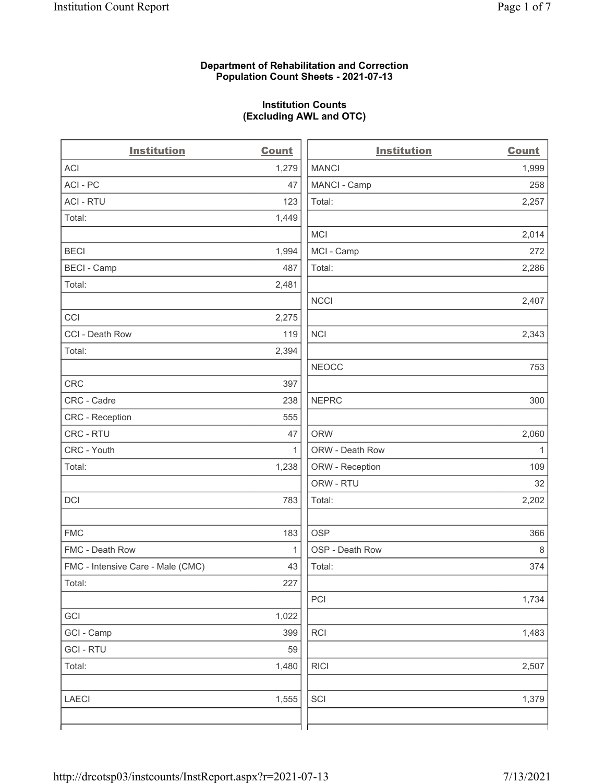## Department of Rehabilitation and Correction Population Count Sheets - 2021-07-13

## Institution Counts (Excluding AWL and OTC)

 $\overline{a}$ 

| <b>Institution</b>                | <b>Count</b> | <b>Institution</b> | <b>Count</b> |
|-----------------------------------|--------------|--------------------|--------------|
| ACI                               | 1,279        | <b>MANCI</b>       | 1,999        |
| ACI - PC                          | 47           | MANCI - Camp       | 258          |
| <b>ACI - RTU</b>                  | 123          | Total:             | 2,257        |
| Total:                            | 1,449        |                    |              |
|                                   |              | MCI                | 2,014        |
| <b>BECI</b>                       | 1,994        | MCI - Camp         | 272          |
| <b>BECI - Camp</b>                | 487          | Total:             | 2,286        |
| Total:                            | 2,481        |                    |              |
|                                   |              | <b>NCCI</b>        | 2,407        |
| CCI                               | 2,275        |                    |              |
| CCI - Death Row                   | 119          | <b>NCI</b>         | 2,343        |
| Total:                            | 2,394        |                    |              |
|                                   |              | <b>NEOCC</b>       | 753          |
| <b>CRC</b>                        | 397          |                    |              |
| CRC - Cadre                       | 238          | <b>NEPRC</b>       | 300          |
| CRC - Reception                   | 555          |                    |              |
| CRC - RTU                         | 47           | <b>ORW</b>         | 2,060        |
| CRC - Youth                       | $\mathbf{1}$ | ORW - Death Row    | $\mathbf{1}$ |
| Total:                            | 1,238        | ORW - Reception    | 109          |
|                                   |              | ORW - RTU          | 32           |
| DCI                               | 783          | Total:             | 2,202        |
| <b>FMC</b>                        | 183          | <b>OSP</b>         | 366          |
| FMC - Death Row                   | $\mathbf{1}$ | OSP - Death Row    | 8            |
| FMC - Intensive Care - Male (CMC) | 43           | Total:             | 374          |
| Total:                            | 227          |                    |              |
|                                   |              | PCI                | 1,734        |
| GCI                               | 1,022        |                    |              |
| GCI - Camp                        | 399          | RCI                | 1,483        |
| <b>GCI - RTU</b>                  | 59           |                    |              |
| Total:                            | 1,480        | <b>RICI</b>        | 2,507        |
| <b>LAECI</b>                      | 1,555        | SCI                | 1,379        |
|                                   |              |                    |              |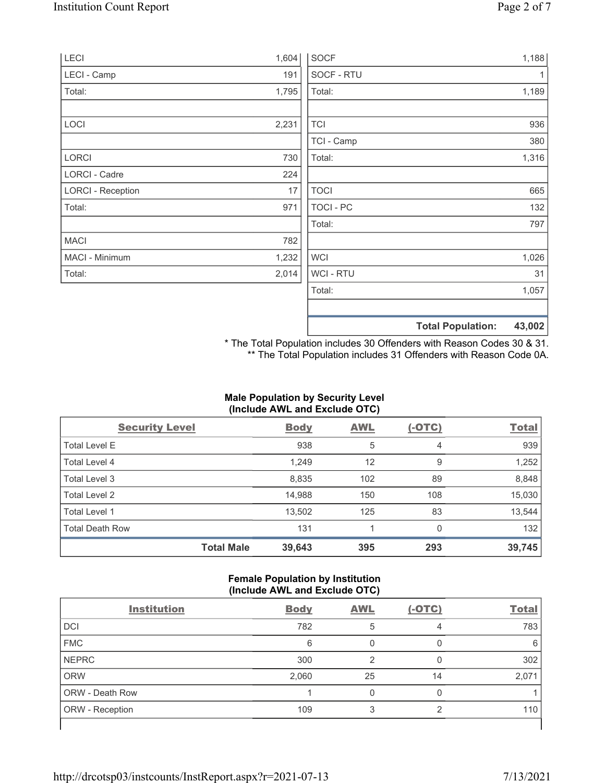| <b>LECI</b>              | 1,604 | SOCF             | 1,188                              |
|--------------------------|-------|------------------|------------------------------------|
| LECI - Camp              | 191   | SOCF - RTU       | 1                                  |
| Total:                   | 1,795 | Total:           | 1,189                              |
| LOCI                     | 2,231 | <b>TCI</b>       | 936                                |
|                          |       | TCI - Camp       | 380                                |
| <b>LORCI</b>             | 730   | Total:           | 1,316                              |
| LORCI - Cadre            | 224   |                  |                                    |
| <b>LORCI - Reception</b> | 17    | <b>TOCI</b>      | 665                                |
| Total:                   | 971   | <b>TOCI - PC</b> | 132                                |
|                          |       | Total:           | 797                                |
| <b>MACI</b>              | 782   |                  |                                    |
| MACI - Minimum           | 1,232 | <b>WCI</b>       | 1,026                              |
| Total:                   | 2,014 | <b>WCI-RTU</b>   | 31                                 |
|                          |       | Total:           | 1,057                              |
|                          |       |                  | <b>Total Population:</b><br>43,002 |

\* The Total Population includes 30 Offenders with Reason Codes 30 & 31. \*\* The Total Population includes 31 Offenders with Reason Code 0A.

# Male Population by Security Level (Include AWL and Exclude OTC)

| <b>Security Level</b>  |                   | <b>Body</b> | <b>AWL</b> | $(-OTC)$ | <b>Total</b> |
|------------------------|-------------------|-------------|------------|----------|--------------|
| <b>Total Level E</b>   |                   | 938         | 5          | 4        | 939          |
| Total Level 4          |                   | 1,249       | 12         | 9        | 1,252        |
| Total Level 3          |                   | 8,835       | 102        | 89       | 8,848        |
| Total Level 2          |                   | 14,988      | 150        | 108      | 15,030       |
| Total Level 1          |                   | 13,502      | 125        | 83       | 13,544       |
| <b>Total Death Row</b> |                   | 131         |            | $\Omega$ | 132          |
|                        | <b>Total Male</b> | 39,643      | 395        | 293      | 39,745       |

## Female Population by Institution (Include AWL and Exclude OTC)

| <b>Institution</b>     | <b>Body</b> | <b>AWL</b> | $(-OTC)$ | <b>Total</b> |
|------------------------|-------------|------------|----------|--------------|
| <b>DCI</b>             | 782         | 5          | 4        | 783          |
| <b>FMC</b>             | 6           |            |          | 6            |
| <b>NEPRC</b>           | 300         | 2          |          | 302          |
| <b>ORW</b>             | 2,060       | 25         | 14       | 2,071        |
| <b>ORW - Death Row</b> |             |            |          |              |
| ORW - Reception        | 109         |            | ◠        | 110          |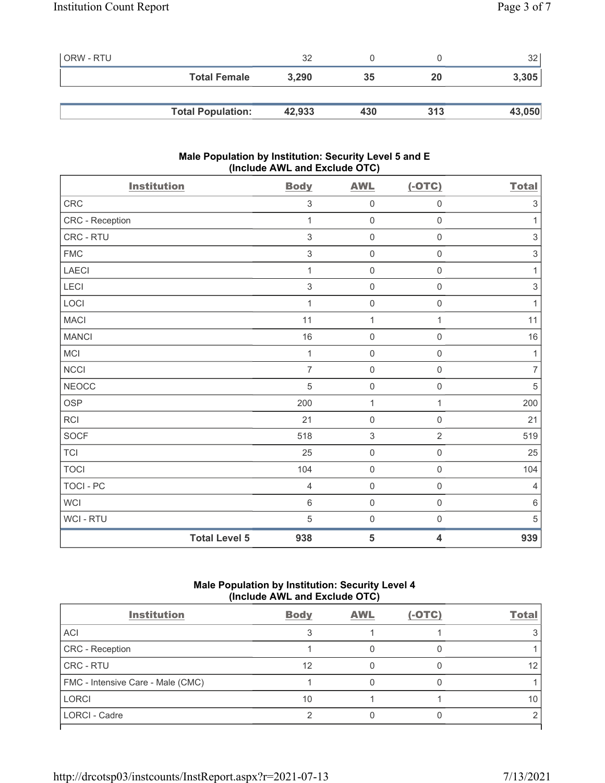| ORW - RTU |                          | 32     |     |     | 32 <sub>1</sub> |
|-----------|--------------------------|--------|-----|-----|-----------------|
|           | <b>Total Female</b>      | 3,290  | 35  | 20  | 3,305           |
|           |                          |        |     |     |                 |
|           | <b>Total Population:</b> | 42,933 | 430 | 313 | 43,050          |

# Male Population by Institution: Security Level 5 and E (Include AWL and Exclude OTC)

| <b>Institution</b> | <b>Body</b>                 | <b>AWL</b>          | $(-OTC)$                | <b>Total</b>   |
|--------------------|-----------------------------|---------------------|-------------------------|----------------|
| CRC                | $\,$ 3 $\,$                 | $\boldsymbol{0}$    | $\mathsf 0$             | $\sqrt{3}$     |
| CRC - Reception    | $\mathbf{1}$                | $\mathsf{O}\xspace$ | $\mathsf 0$             | $\mathbf{1}$   |
| CRC - RTU          | $\mathfrak{S}$              | $\mathsf{O}\xspace$ | $\mathsf{O}\xspace$     | $\,$ 3 $\,$    |
| ${\sf FMC}$        | $\mathfrak{S}$              | $\boldsymbol{0}$    | $\mathsf 0$             | $\sqrt{3}$     |
| LAECI              | $\mathbf{1}$                | $\boldsymbol{0}$    | $\mathsf 0$             | $\mathbf{1}$   |
| LECI               | $\mathfrak{S}$              | $\mathsf{O}\xspace$ | $\mathsf{O}\xspace$     | $\,$ 3 $\,$    |
| LOCI               | $\mathbf{1}$                | $\boldsymbol{0}$    | $\mathsf 0$             | $\mathbf{1}$   |
| <b>MACI</b>        | 11                          | $\mathbf 1$         | 1                       | 11             |
| <b>MANCI</b>       | 16                          | $\mathsf{O}\xspace$ | $\mathsf 0$             | 16             |
| MCI                | $\mathbf{1}$                | $\boldsymbol{0}$    | $\mathsf 0$             | $\mathbf{1}$   |
| NCCI               | $\overline{7}$              | $\boldsymbol{0}$    | $\mathsf 0$             | $\overline{7}$ |
| <b>NEOCC</b>       | 5                           | $\mathsf{O}\xspace$ | $\mathsf{O}\xspace$     | $\sqrt{5}$     |
| <b>OSP</b>         | 200                         | $\mathbf 1$         | $\mathbf{1}$            | 200            |
| <b>RCI</b>         | 21                          | $\mathsf{O}\xspace$ | $\mathbf 0$             | 21             |
| <b>SOCF</b>        | 518                         | $\sqrt{3}$          | $\overline{2}$          | 519            |
| <b>TCI</b>         | 25                          | $\pmb{0}$           | $\mathsf 0$             | 25             |
| <b>TOCI</b>        | 104                         | $\boldsymbol{0}$    | $\mathsf 0$             | 104            |
| <b>TOCI - PC</b>   | $\overline{4}$              | $\mathsf{O}\xspace$ | $\mathsf{O}\xspace$     | $\overline{4}$ |
| <b>WCI</b>         | $6\,$                       | $\boldsymbol{0}$    | $\mathsf{O}\xspace$     | $\,6\,$        |
| WCI - RTU          | 5                           | $\boldsymbol{0}$    | $\mathsf 0$             | 5              |
|                    | <b>Total Level 5</b><br>938 | 5                   | $\overline{\mathbf{4}}$ | 939            |

# Male Population by Institution: Security Level 4 (Include AWL and Exclude OTC)

| <b>Body</b> | <b>AWL</b> | $(-OTC)$ | <b>Total</b> |
|-------------|------------|----------|--------------|
|             |            |          |              |
|             |            |          |              |
| 12          |            |          | 12           |
|             |            |          |              |
| 10          |            |          |              |
|             |            |          |              |
|             |            |          |              |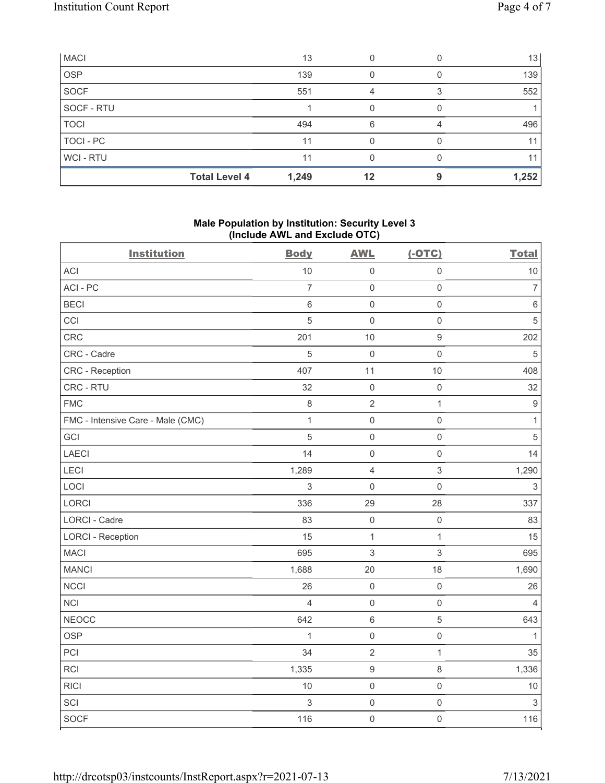| <b>MACI</b> |                      | 13    |    | 13 <sup>1</sup> |
|-------------|----------------------|-------|----|-----------------|
| <b>OSP</b>  |                      | 139   |    | 139             |
| SOCF        |                      | 551   |    | 552             |
| SOCF - RTU  |                      |       |    |                 |
| <b>TOCI</b> |                      | 494   | 6  | 496             |
| TOCI - PC   |                      | 11    |    | 11              |
| WCI - RTU   |                      | 11    |    | 11              |
|             | <b>Total Level 4</b> | 1,249 | 12 | 1,252           |

# Male Population by Institution: Security Level 3 (Include AWL and Exclude OTC)

| <b>Institution</b>                | <b>Body</b>    | <b>AWL</b>       | $(-OTC)$                  | <b>Total</b>              |
|-----------------------------------|----------------|------------------|---------------------------|---------------------------|
| <b>ACI</b>                        | 10             | $\mathbf 0$      | $\mathsf{O}\xspace$       | 10                        |
| ACI-PC                            | $\overline{7}$ | $\mathbf 0$      | $\mathsf 0$               | $\overline{7}$            |
| <b>BECI</b>                       | $\,6$          | $\mathbf 0$      | $\mathsf 0$               | $\,6\,$                   |
| CCI                               | 5              | $\mathbf 0$      | $\mathsf 0$               | $\sqrt{5}$                |
| CRC                               | 201            | 10               | $\boldsymbol{9}$          | 202                       |
| CRC - Cadre                       | 5              | $\mathbf 0$      | $\mathsf{O}\xspace$       | $\mathbf 5$               |
| CRC - Reception                   | 407            | 11               | $10$                      | 408                       |
| CRC - RTU                         | 32             | $\mathbf 0$      | $\mathsf 0$               | 32                        |
| <b>FMC</b>                        | $\,8\,$        | $\sqrt{2}$       | $\mathbf{1}$              | $\boldsymbol{9}$          |
| FMC - Intensive Care - Male (CMC) | $\mathbf{1}$   | $\mathbf 0$      | $\mathsf{O}\xspace$       | $\mathbf{1}$              |
| GCI                               | 5              | $\mathbf 0$      | $\mathsf{O}\xspace$       | $\sqrt{5}$                |
| <b>LAECI</b>                      | 14             | $\mathbf 0$      | $\mathsf{O}\xspace$       | 14                        |
| LECI                              | 1,289          | $\overline{4}$   | $\ensuremath{\mathsf{3}}$ | 1,290                     |
| LOCI                              | 3              | $\mathbf 0$      | $\mathsf{O}\xspace$       | $\ensuremath{\mathsf{3}}$ |
| LORCI                             | 336            | 29               | 28                        | 337                       |
| <b>LORCI - Cadre</b>              | 83             | $\mathbf 0$      | $\mathsf 0$               | 83                        |
| <b>LORCI - Reception</b>          | 15             | $\mathbf 1$      | $\mathbf{1}$              | 15                        |
| <b>MACI</b>                       | 695            | $\mathfrak{S}$   | $\mathfrak{S}$            | 695                       |
| <b>MANCI</b>                      | 1,688          | 20               | 18                        | 1,690                     |
| <b>NCCI</b>                       | 26             | $\mathbf 0$      | $\mathsf{O}\xspace$       | 26                        |
| <b>NCI</b>                        | $\overline{4}$ | $\mathbf 0$      | $\mathsf{O}\xspace$       | $\overline{4}$            |
| <b>NEOCC</b>                      | 642            | $\,6\,$          | $\sqrt{5}$                | 643                       |
| <b>OSP</b>                        | $\mathbf{1}$   | $\mathbf 0$      | $\mathsf{O}\xspace$       | 1                         |
| PCI                               | 34             | $\sqrt{2}$       | $\mathbf{1}$              | 35                        |
| <b>RCI</b>                        | 1,335          | $\boldsymbol{9}$ | $\,8\,$                   | 1,336                     |
| <b>RICI</b>                       | 10             | $\mathbf 0$      | $\mathsf{O}\xspace$       | 10                        |
| SCI                               | 3              | $\mathbf 0$      | $\mathsf{O}\xspace$       | $\ensuremath{\mathsf{3}}$ |
| SOCF                              | 116            | $\mathbf 0$      | $\mathsf{O}\xspace$       | 116                       |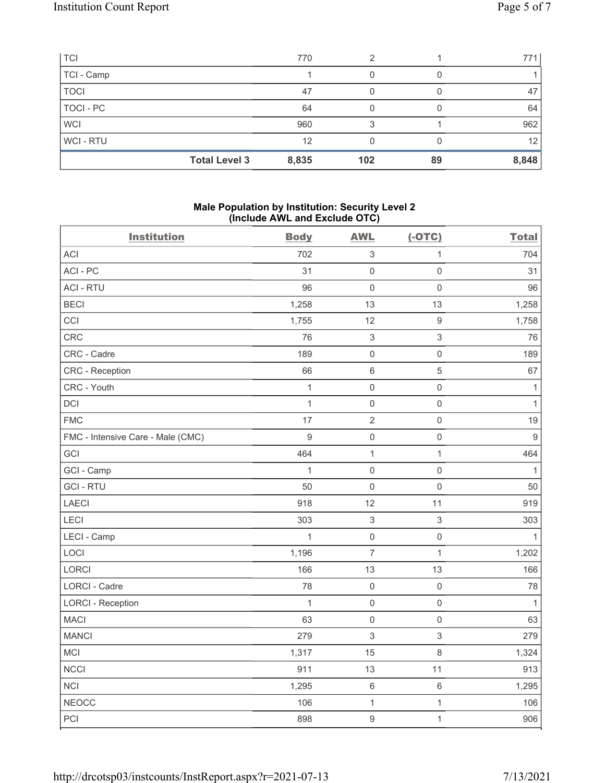| <b>TCI</b>  | 770                           | 2   |    | 771 l           |
|-------------|-------------------------------|-----|----|-----------------|
| TCI - Camp  |                               |     |    |                 |
| <b>TOCI</b> | 47                            |     |    | 47              |
| TOCI - PC   | 64                            |     |    | 64              |
| <b>WCI</b>  | 960                           |     |    | 962             |
| WCI-RTU     | 12                            |     |    | 12 <sub>1</sub> |
|             | <b>Total Level 3</b><br>8,835 | 102 | 89 | 8,848           |

#### Male Population by Institution: Security Level 2 (Include AWL and Exclude OTC)

| <b>Institution</b>                | <b>Body</b>    | <b>AWL</b>                | $(-OTC)$            | <b>Total</b>     |
|-----------------------------------|----------------|---------------------------|---------------------|------------------|
| ACI                               | 702            | $\sqrt{3}$                | $\mathbf{1}$        | 704              |
| ACI-PC                            | 31             | $\mathsf{O}\xspace$       | $\mathsf{O}\xspace$ | 31               |
| <b>ACI - RTU</b>                  | 96             | $\mathbf 0$               | $\mathsf{O}\xspace$ | 96               |
| <b>BECI</b>                       | 1,258          | 13                        | 13                  | 1,258            |
| CCI                               | 1,755          | 12                        | $\boldsymbol{9}$    | 1,758            |
| CRC                               | 76             | $\sqrt{3}$                | $\mathsf 3$         | 76               |
| CRC - Cadre                       | 189            | $\mathbf 0$               | $\mathsf{O}\xspace$ | 189              |
| CRC - Reception                   | 66             | $6\,$                     | $\sqrt{5}$          | 67               |
| CRC - Youth                       | $\mathbf{1}$   | $\mathbf 0$               | $\mathsf{O}\xspace$ | $\mathbf{1}$     |
| <b>DCI</b>                        | $\mathbf{1}$   | $\mathbf 0$               | $\mathsf{O}\xspace$ | $\mathbf{1}$     |
| <b>FMC</b>                        | 17             | $\sqrt{2}$                | $\mathsf{O}\xspace$ | 19               |
| FMC - Intensive Care - Male (CMC) | $\overline{9}$ | $\mathbf 0$               | $\mathsf{O}\xspace$ | $\boldsymbol{9}$ |
| GCI                               | 464            | $\mathbf 1$               | $\mathbf{1}$        | 464              |
| GCI - Camp                        | $\mathbf{1}$   | $\mathbf 0$               | $\mathsf 0$         | 1                |
| <b>GCI-RTU</b>                    | 50             | $\mathbf 0$               | $\mathbf 0$         | 50               |
| <b>LAECI</b>                      | 918            | 12                        | 11                  | 919              |
| LECI                              | 303            | $\sqrt{3}$                | $\sqrt{3}$          | 303              |
| LECI - Camp                       | $\mathbf{1}$   | $\mathbf 0$               | $\mathsf{O}\xspace$ | $\mathbf{1}$     |
| LOCI                              | 1,196          | $\overline{7}$            | $\mathbf{1}$        | 1,202            |
| LORCI                             | 166            | 13                        | 13                  | 166              |
| LORCI - Cadre                     | 78             | $\mathbf 0$               | $\mathsf{O}\xspace$ | 78               |
| <b>LORCI - Reception</b>          | $\mathbf{1}$   | $\mathbf 0$               | $\mathbf 0$         | $\mathbf{1}$     |
| <b>MACI</b>                       | 63             | $\mathbf 0$               | $\mathbf 0$         | 63               |
| <b>MANCI</b>                      | 279            | $\ensuremath{\mathsf{3}}$ | $\mathfrak{S}$      | 279              |
| <b>MCI</b>                        | 1,317          | 15                        | $\,8\,$             | 1,324            |
| <b>NCCI</b>                       | 911            | 13                        | 11                  | 913              |
| <b>NCI</b>                        | 1,295          | $\,6\,$                   | $\,6\,$             | 1,295            |
| <b>NEOCC</b>                      | 106            | $\mathbf{1}$              | $\mathbf{1}$        | 106              |
| PCI                               | 898            | $\boldsymbol{9}$          | $\mathbf{1}$        | 906              |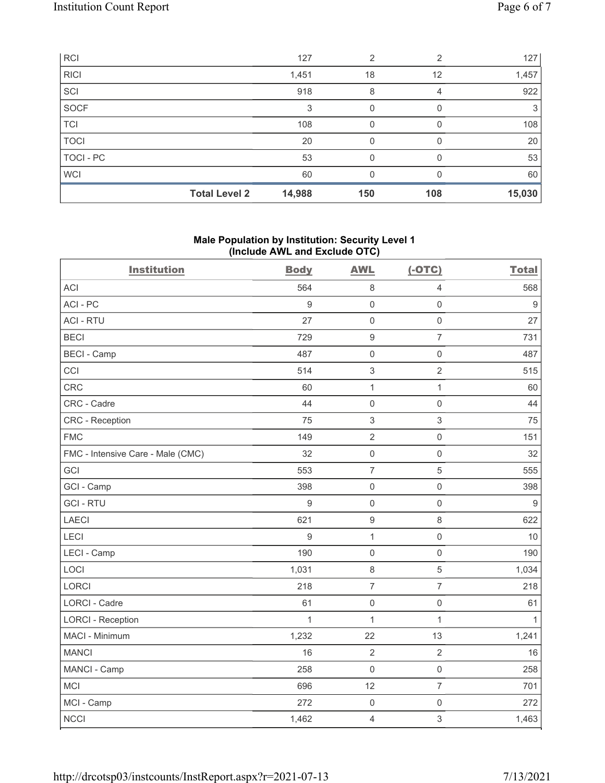| RCI              |                      | 127    | 2   | $\mathfrak{p}$ | 127    |
|------------------|----------------------|--------|-----|----------------|--------|
| <b>RICI</b>      |                      | 1,451  | 18  | 12             | 1,457  |
| SCI              |                      | 918    | 8   | 4              | 922    |
| SOCF             |                      | 3      | 0   |                | 3      |
| <b>TCI</b>       |                      | 108    | 0   |                | 108    |
| <b>TOCI</b>      |                      | 20     | 0   |                | 20     |
| <b>TOCI - PC</b> |                      | 53     | 0   |                | 53     |
| <b>WCI</b>       |                      | 60     | 0   |                | 60     |
|                  | <b>Total Level 2</b> | 14,988 | 150 | 108            | 15,030 |

## Male Population by Institution: Security Level 1 (Include AWL and Exclude OTC)

| <b>Institution</b>                | <b>Body</b>      | <b>AWL</b>          | $(-OTC)$            | <b>Total</b>     |
|-----------------------------------|------------------|---------------------|---------------------|------------------|
| <b>ACI</b>                        | 564              | 8                   | $\overline{4}$      | 568              |
| ACI-PC                            | $\boldsymbol{9}$ | $\mathsf{O}\xspace$ | $\mathsf{O}\xspace$ | 9                |
| <b>ACI - RTU</b>                  | 27               | $\mathbf 0$         | $\mathsf{O}\xspace$ | 27               |
| <b>BECI</b>                       | 729              | $\boldsymbol{9}$    | $\overline{7}$      | 731              |
| <b>BECI - Camp</b>                | 487              | $\mathbf 0$         | $\mathsf{O}\xspace$ | 487              |
| CCI                               | 514              | $\,$ 3 $\,$         | $\overline{2}$      | 515              |
| CRC                               | 60               | $\mathbf{1}$        | 1                   | 60               |
| CRC - Cadre                       | 44               | $\mathbf 0$         | $\mathbf 0$         | 44               |
| CRC - Reception                   | 75               | 3                   | 3                   | 75               |
| <b>FMC</b>                        | 149              | $\overline{2}$      | $\mathsf{O}\xspace$ | 151              |
| FMC - Intensive Care - Male (CMC) | 32               | $\mathsf{O}\xspace$ | $\mathbf 0$         | 32               |
| GCI                               | 553              | $\overline{7}$      | 5                   | 555              |
| GCI - Camp                        | 398              | $\mathsf{O}\xspace$ | $\mathsf 0$         | 398              |
| <b>GCI-RTU</b>                    | $\boldsymbol{9}$ | $\mathsf{O}\xspace$ | $\mathsf 0$         | $\boldsymbol{9}$ |
| LAECI                             | 621              | $\hbox{9}$          | $\,8\,$             | 622              |
| <b>LECI</b>                       | 9                | $\mathbf{1}$        | $\mathsf 0$         | 10               |
| LECI - Camp                       | 190              | 0                   | $\mathsf{O}\xspace$ | 190              |
| LOCI                              | 1,031            | $\,8\,$             | $\sqrt{5}$          | 1,034            |
| LORCI                             | 218              | $\overline{7}$      | $\overline{7}$      | 218              |
| <b>LORCI - Cadre</b>              | 61               | $\mathsf{O}\xspace$ | $\mathsf{O}\xspace$ | 61               |
| <b>LORCI - Reception</b>          | $\mathbf{1}$     | $\mathbf{1}$        | $\mathbf{1}$        | $\mathbf{1}$     |
| MACI - Minimum                    | 1,232            | 22                  | 13                  | 1,241            |
| <b>MANCI</b>                      | 16               | $\overline{2}$      | $\overline{2}$      | 16               |
| MANCI - Camp                      | 258              | $\mathbf 0$         | $\mathsf{O}\xspace$ | 258              |
| <b>MCI</b>                        | 696              | 12                  | $\overline{7}$      | 701              |
| MCI - Camp                        | 272              | $\mathbf 0$         | $\mathsf{O}\xspace$ | 272              |
| <b>NCCI</b>                       | 1,462            | 4                   | 3                   | 1,463            |